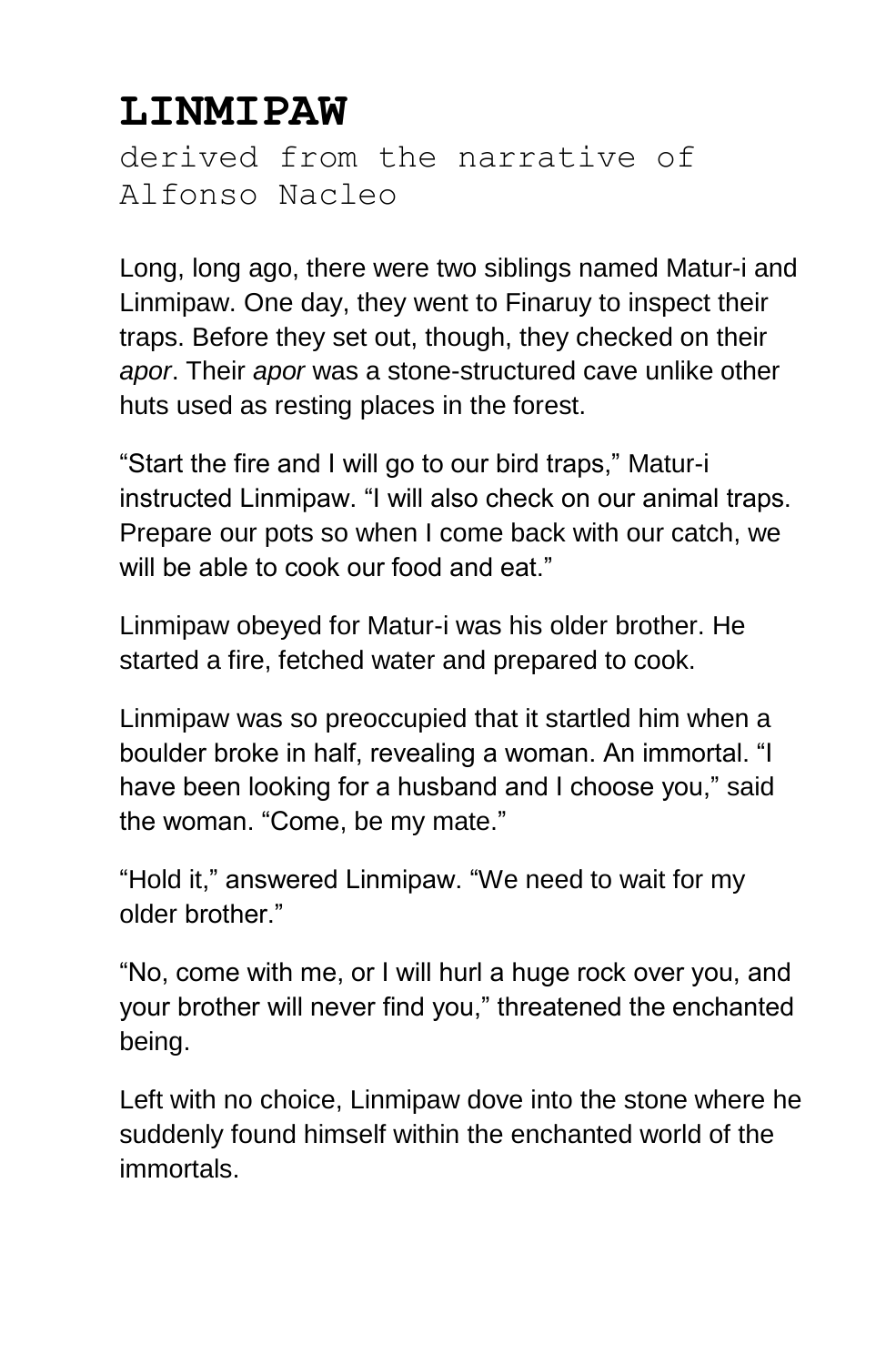## **LINMIPAW**

derived from the narrative of Alfonso Nacleo

Long, long ago, there were two siblings named Matur-i and Linmipaw. One day, they went to Finaruy to inspect their traps. Before they set out, though, they checked on their *apor*. Their *apor* was a stone-structured cave unlike other huts used as resting places in the forest.

"Start the fire and I will go to our bird traps," Matur-i instructed Linmipaw. "I will also check on our animal traps. Prepare our pots so when I come back with our catch, we will be able to cook our food and eat."

Linmipaw obeyed for Matur-i was his older brother. He started a fire, fetched water and prepared to cook.

Linmipaw was so preoccupied that it startled him when a boulder broke in half, revealing a woman. An immortal. "I have been looking for a husband and I choose you," said the woman. "Come, be my mate."

"Hold it," answered Linmipaw. "We need to wait for my older brother."

"No, come with me, or I will hurl a huge rock over you, and your brother will never find you," threatened the enchanted being.

Left with no choice, Linmipaw dove into the stone where he suddenly found himself within the enchanted world of the immortals.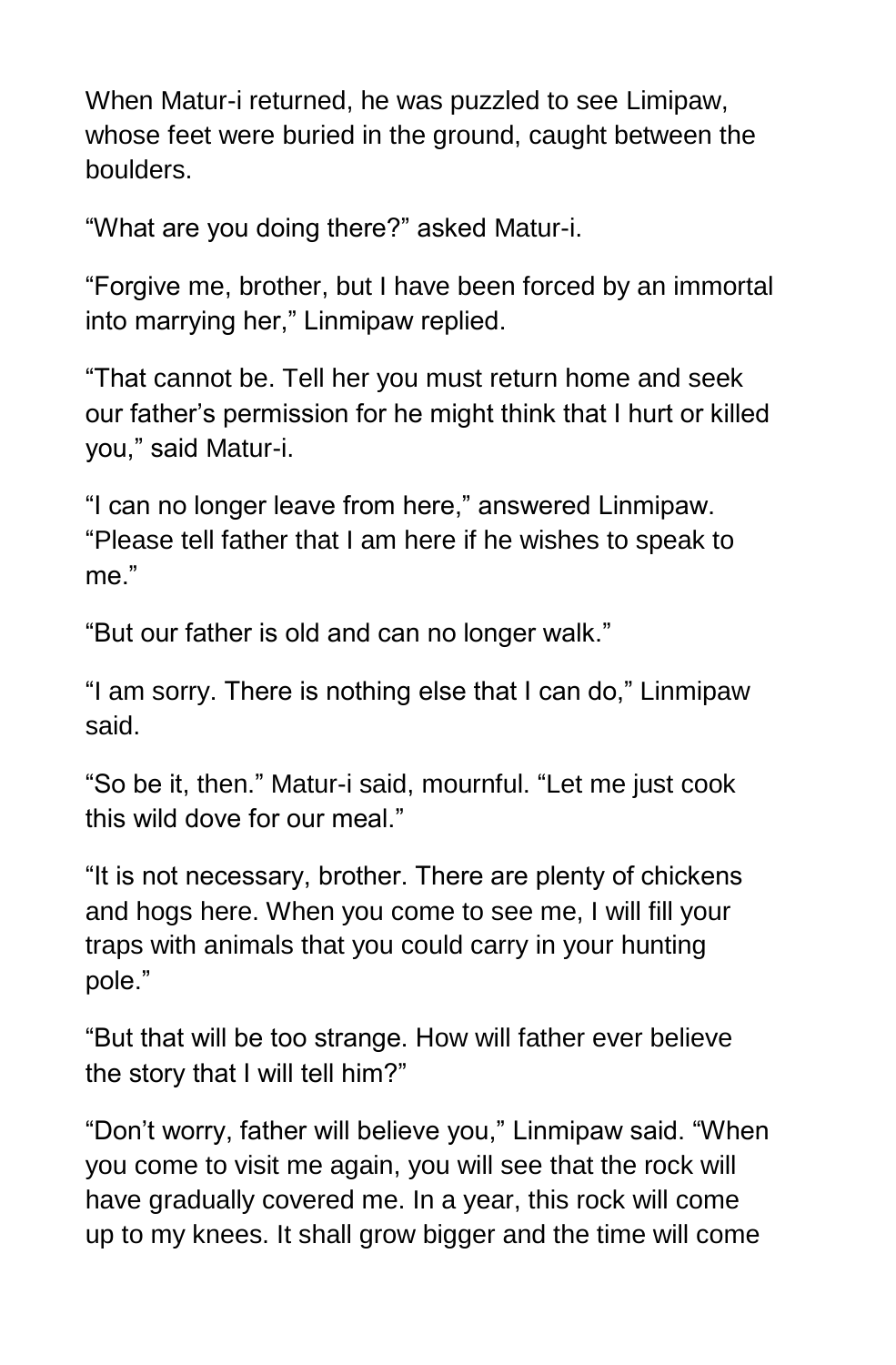When Matur-i returned, he was puzzled to see Limipaw, whose feet were buried in the ground, caught between the boulders.

"What are you doing there?" asked Matur-i.

"Forgive me, brother, but I have been forced by an immortal into marrying her," Linmipaw replied.

"That cannot be. Tell her you must return home and seek our father's permission for he might think that I hurt or killed you," said Matur-i.

"I can no longer leave from here," answered Linmipaw. "Please tell father that I am here if he wishes to speak to me."

"But our father is old and can no longer walk."

"I am sorry. There is nothing else that I can do," Linmipaw said.

"So be it, then." Matur-i said, mournful. "Let me just cook this wild dove for our meal."

"It is not necessary, brother. There are plenty of chickens and hogs here. When you come to see me, I will fill your traps with animals that you could carry in your hunting pole."

"But that will be too strange. How will father ever believe the story that I will tell him?"

"Don't worry, father will believe you," Linmipaw said. "When you come to visit me again, you will see that the rock will have gradually covered me. In a year, this rock will come up to my knees. It shall grow bigger and the time will come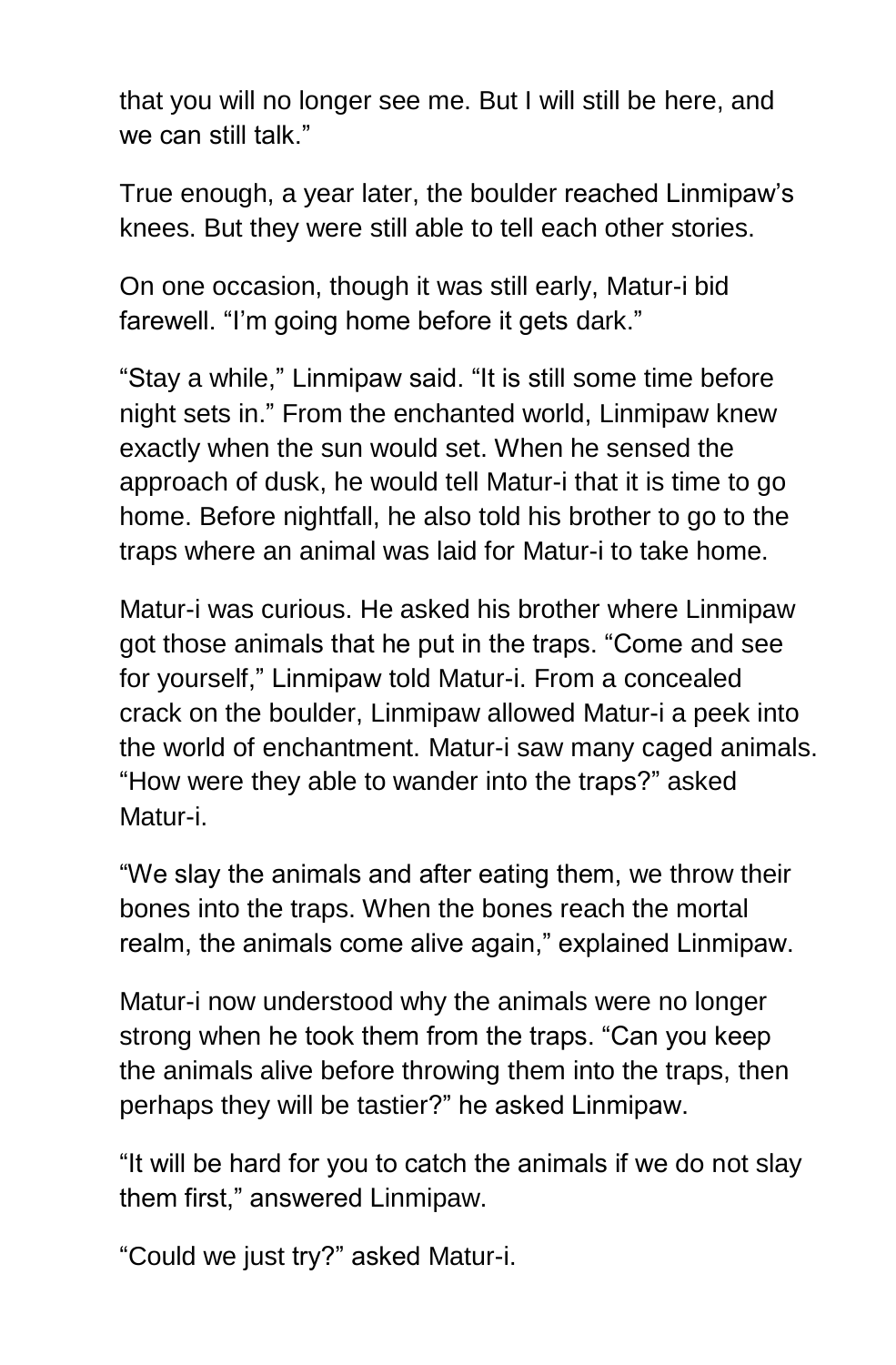that you will no longer see me. But I will still be here, and we can still talk."

True enough, a year later, the boulder reached Linmipaw's knees. But they were still able to tell each other stories.

On one occasion, though it was still early, Matur-i bid farewell. "I'm going home before it gets dark."

"Stay a while," Linmipaw said. "It is still some time before night sets in." From the enchanted world, Linmipaw knew exactly when the sun would set. When he sensed the approach of dusk, he would tell Matur-i that it is time to go home. Before nightfall, he also told his brother to go to the traps where an animal was laid for Matur-i to take home.

Matur-i was curious. He asked his brother where Linmipaw got those animals that he put in the traps. "Come and see for yourself," Linmipaw told Matur-i. From a concealed crack on the boulder, Linmipaw allowed Matur-i a peek into the world of enchantment. Matur-i saw many caged animals. "How were they able to wander into the traps?" asked Matur-i.

"We slay the animals and after eating them, we throw their bones into the traps. When the bones reach the mortal realm, the animals come alive again," explained Linmipaw.

Matur-i now understood why the animals were no longer strong when he took them from the traps. "Can you keep the animals alive before throwing them into the traps, then perhaps they will be tastier?" he asked Linmipaw.

"It will be hard for you to catch the animals if we do not slay them first," answered Linmipaw.

"Could we just try?" asked Matur-i.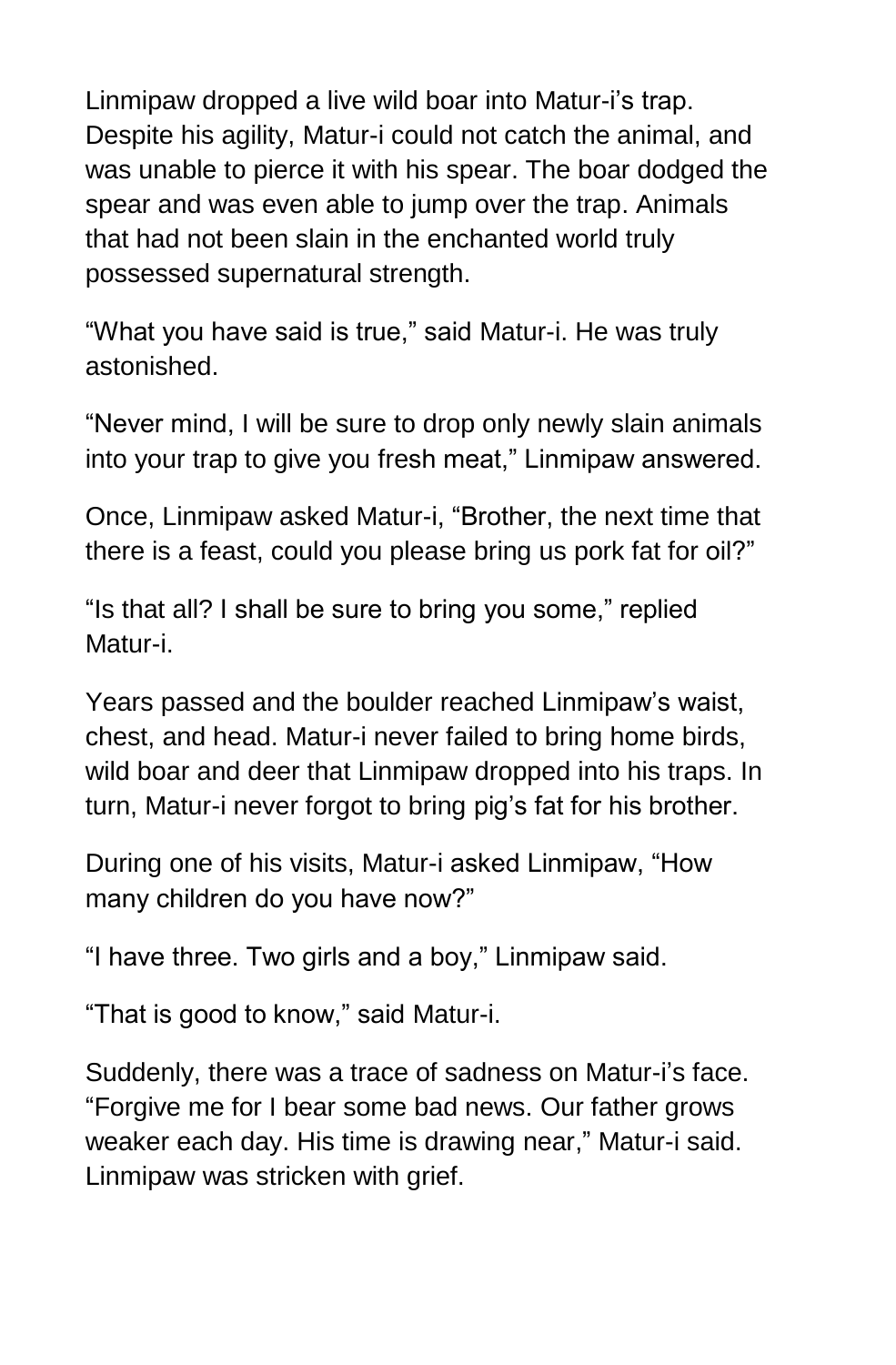Linmipaw dropped a live wild boar into Matur-i's trap. Despite his agility, Matur-i could not catch the animal, and was unable to pierce it with his spear. The boar dodged the spear and was even able to jump over the trap. Animals that had not been slain in the enchanted world truly possessed supernatural strength.

"What you have said is true," said Matur-i. He was truly astonished.

"Never mind, I will be sure to drop only newly slain animals into your trap to give you fresh meat," Linmipaw answered.

Once, Linmipaw asked Matur-i, "Brother, the next time that there is a feast, could you please bring us pork fat for oil?"

"Is that all? I shall be sure to bring you some," replied Matur-i.

Years passed and the boulder reached Linmipaw's waist, chest, and head. Matur-i never failed to bring home birds, wild boar and deer that Linmipaw dropped into his traps. In turn, Matur-i never forgot to bring pig's fat for his brother.

During one of his visits, Matur-i asked Linmipaw, "How many children do you have now?"

"I have three. Two girls and a boy," Linmipaw said.

"That is good to know," said Matur-i.

Suddenly, there was a trace of sadness on Matur-i's face. "Forgive me for I bear some bad news. Our father grows weaker each day. His time is drawing near," Matur-i said. Linmipaw was stricken with grief.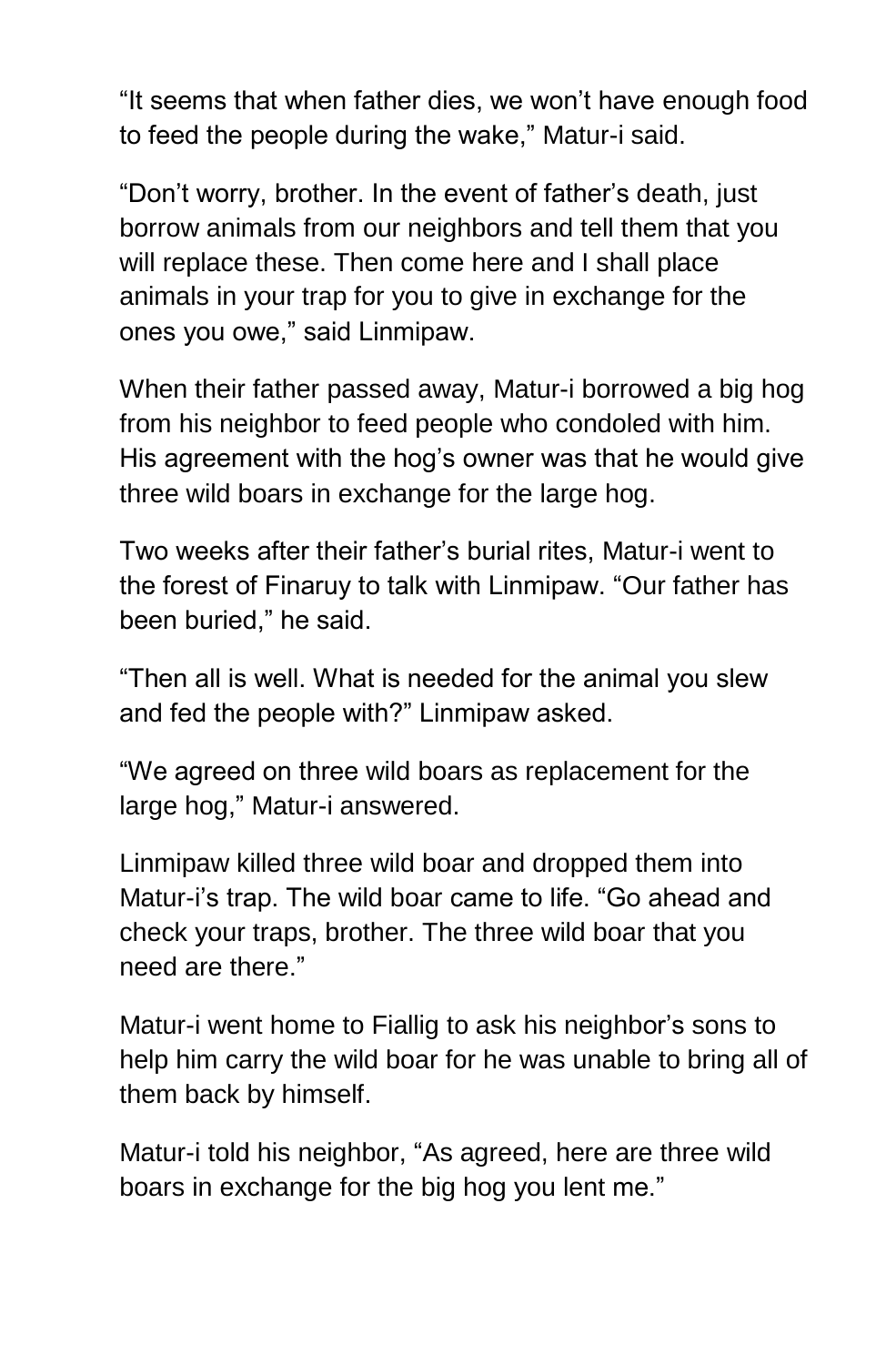"It seems that when father dies, we won't have enough food to feed the people during the wake," Matur-i said.

"Don't worry, brother. In the event of father's death, just borrow animals from our neighbors and tell them that you will replace these. Then come here and I shall place animals in your trap for you to give in exchange for the ones you owe," said Linmipaw.

When their father passed away, Matur-i borrowed a big hog from his neighbor to feed people who condoled with him. His agreement with the hog's owner was that he would give three wild boars in exchange for the large hog.

Two weeks after their father's burial rites, Matur-i went to the forest of Finaruy to talk with Linmipaw. "Our father has been buried," he said.

"Then all is well. What is needed for the animal you slew and fed the people with?" Linmipaw asked.

"We agreed on three wild boars as replacement for the large hog," Matur-i answered.

Linmipaw killed three wild boar and dropped them into Matur-i's trap. The wild boar came to life. "Go ahead and check your traps, brother. The three wild boar that you need are there."

Matur-i went home to Fiallig to ask his neighbor's sons to help him carry the wild boar for he was unable to bring all of them back by himself.

Matur-i told his neighbor, "As agreed, here are three wild boars in exchange for the big hog you lent me."